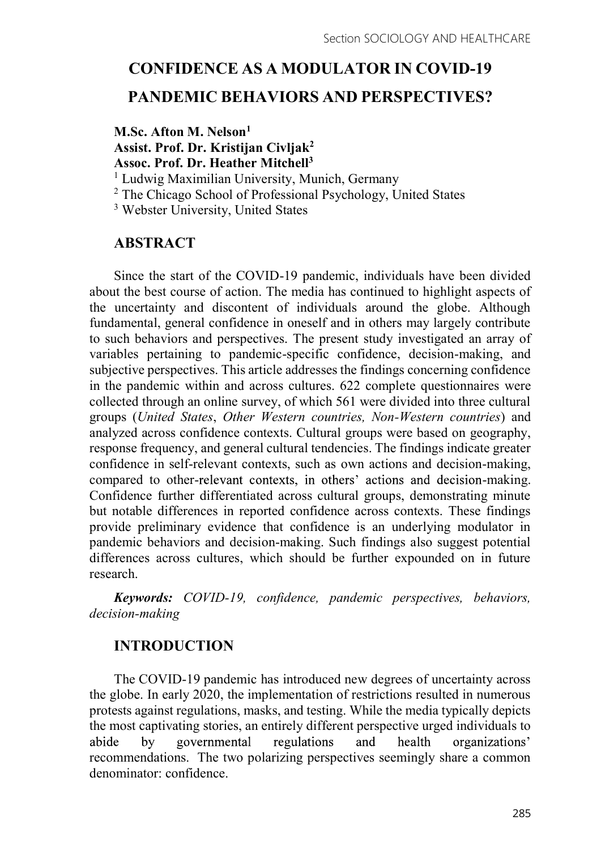# CONFIDENCE AS A MODULATOR IN COVID-19 PANDEMIC BEHAVIORS AND PERSPECTIVES?

# M.Sc. Afton M. Nelson<sup>1</sup> Assist. Prof. Dr. Kristijan Civljak<sup>2</sup><br>Assoc. Prof. Dr. Heather Mitchell<sup>3</sup>

<sup>1</sup> Ludwig Maximilian University, Munich, Germany

<sup>2</sup> The Chicago School of Professional Psychology, United States

3 Webster University, United States

# ABSTRACT

Since the start of the COVID-19 pandemic, individuals have been divided about the best course of action. The media has continued to highlight aspects of the uncertainty and discontent of individuals around the globe. Although fundamental, general confidence in oneself and in others may largely contribute to such behaviors and perspectives. The present study investigated an array of variables pertaining to pandemic-specific confidence, decision-making, and subjective perspectives. This article addresses the findings concerning confidence in the pandemic within and across cultures. 622 complete questionnaires were collected through an online survey, of which 561 were divided into three cultural groups (United States, Other Western countries, Non-Western countries) and analyzed across confidence contexts. Cultural groups were based on geography, response frequency, and general cultural tendencies. The findings indicate greater confidence in self-relevant contexts, such as own actions and decision-making, compared to other-relevant contexts, in others' actions and decision-making. Confidence further differentiated across cultural groups, demonstrating minute but notable differences in reported confidence across contexts. These findings provide preliminary evidence that confidence is an underlying modulator in pandemic behaviors and decision-making. Such findings also suggest potential differences across cultures, which should be further expounded on in future research.

Keywords: COVID-19, confidence, pandemic perspectives, behaviors, decision-making

# INTRODUCTION

The COVID-19 pandemic has introduced new degrees of uncertainty across the globe. In early 2020, the implementation of restrictions resulted in numerous protests against regulations, masks, and testing. While the media typically depicts the most captivating stories, an entirely different perspective urged individuals to governmental regulations and health abide by organizations' recommendations. The two polarizing perspectives seemingly share a common denominator: confidence.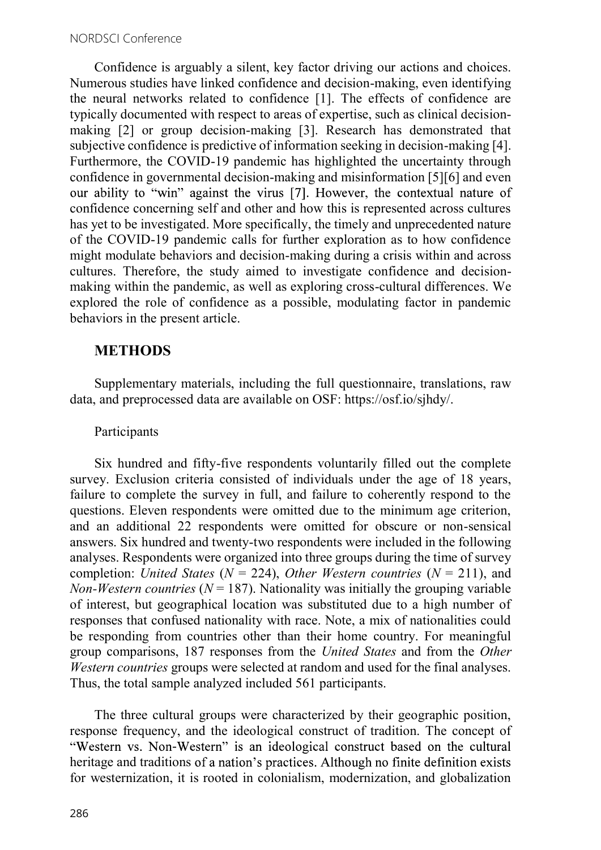Confidence is arguably a silent, key factor driving our actions and choices. Numerous studies have linked confidence and decision-making, even identifying the neural networks related to confidence [1]. The effects of confidence are typically documented with respect to areas of expertise, such as clinical decisionmaking [2] or group decision-making [3]. Research has demonstrated that subjective confidence is predictive of information seeking in decision-making [4]. Furthermore, the COVID-19 pandemic has highlighted the uncertainty through confidence in governmental decision-making and misinformation [5][6] and even our ability to "win" against the virus [7]. However, the contextual nature of confidence concerning self and other and how this is represented across cultures has yet to be investigated. More specifically, the timely and unprecedented nature of the COVID-19 pandemic calls for further exploration as to how confidence might modulate behaviors and decision-making during a crisis within and across cultures. Therefore, the study aimed to investigate confidence and decisionmaking within the pandemic, as well as exploring cross-cultural differences. We explored the role of confidence as a possible, modulating factor in pandemic behaviors in the present article.

## **METHODS**

Supplementary materials, including the full questionnaire, translations, raw data, and preprocessed data are available on OSF: https://osf.io/sjhdy/.

## Participants

Six hundred and fifty-five respondents voluntarily filled out the complete survey. Exclusion criteria consisted of individuals under the age of 18 years, failure to complete the survey in full, and failure to coherently respond to the questions. Eleven respondents were omitted due to the minimum age criterion, and an additional 22 respondents were omitted for obscure or non-sensical answers. Six hundred and twenty-two respondents were included in the following analyses. Respondents were organized into three groups during the time of survey completion: United States ( $N = 224$ ), Other Western countries ( $N = 211$ ), and Non-Western countries ( $N = 187$ ). Nationality was initially the grouping variable of interest, but geographical location was substituted due to a high number of responses that confused nationality with race. Note, a mix of nationalities could be responding from countries other than their home country. For meaningful group comparisons, 187 responses from the United States and from the Other Western countries groups were selected at random and used for the final analyses. Thus, the total sample analyzed included 561 participants.

The three cultural groups were characterized by their geographic position, response frequency, and the ideological construct of tradition. The concept of "Western vs. Non-Western" is an ideological construct based on the cultural heritage and traditions of a nation's practices. Although no finite definition exists for westernization, it is rooted in colonialism, modernization, and globalization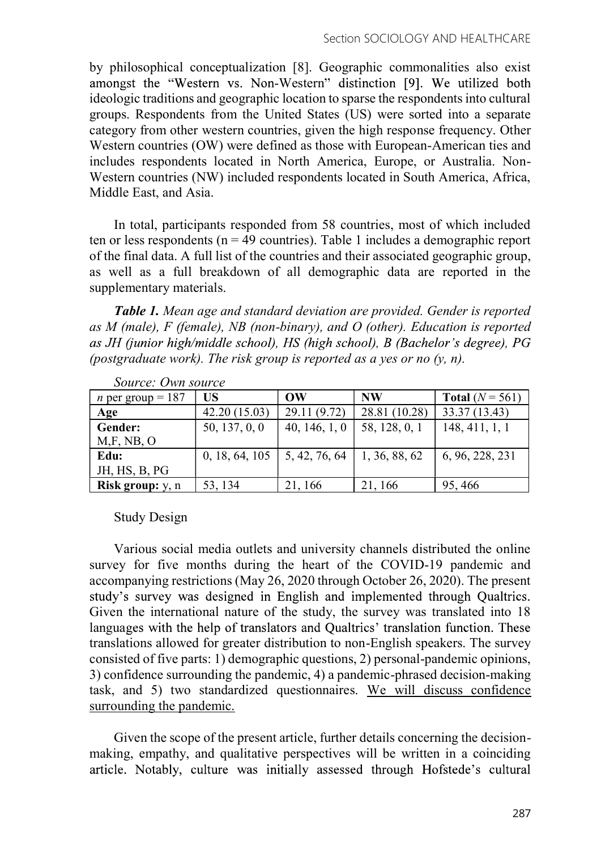by philosophical conceptualization [8]. Geographic commonalities also exist amongst the "Western vs. Non-Western" distinction [9]. We utilized both ideologic traditions and geographic location to sparse the respondents into cultural groups. Respondents from the United States (US) were sorted into a separate category from other western countries, given the high response frequency. Other Western countries (OW) were defined as those with European-American ties and includes respondents located in North America, Europe, or Australia. Non-Western countries (NW) included respondents located in South America, Africa, Middle East, and Asia.

In total, participants responded from 58 countries, most of which included ten or less respondents ( $n = 49$  countries). Table 1 includes a demographic report of the final data. A full list of the countries and their associated geographic group, as well as a full breakdown of all demographic data are reported in the supplementary materials.

Table 1. Mean age and standard deviation are provided. Gender is reported as M (male), F (female), NB (non-binary), and O (other). Education is reported as JH (junior high/middle school), HS (high school), B (Bachelor's degree), PG (postgraduate work). The risk group is reported as a yes or no  $(y, n)$ .

| <i>n</i> per group = $187$ | US             | OW            | <b>NW</b>     | Total $(N = 561)$ |
|----------------------------|----------------|---------------|---------------|-------------------|
| Age                        | 42.20(15.03)   | 29.11 (9.72)  | 28.81 (10.28) | 33.37 (13.43)     |
| <b>Gender:</b>             | 50, 137, 0, 0  | 40, 146, 1, 0 | 58, 128, 0, 1 | 148, 411, 1, 1    |
| M,F, NB, O                 |                |               |               |                   |
| Edu:                       | 0, 18, 64, 105 | 5, 42, 76, 64 | 1, 36, 88, 62 | 6, 96, 228, 231   |
| JH, HS, B, PG              |                |               |               |                   |
| <b>Risk group:</b> y, n    | 53, 134        | 21, 166       | 21, 166       | 95, 466           |

Source: Own source

Study Design

Various social media outlets and university channels distributed the online survey for five months during the heart of the COVID-19 pandemic and accompanying restrictions (May 26, 2020 through October 26, 2020). The present study's survey was designed in English and implemented through Qualtrics. Given the international nature of the study, the survey was translated into 18 languages with the help of translators and Qualtrics' translation function. These translations allowed for greater distribution to non-English speakers. The survey consisted of five parts: 1) demographic questions, 2) personal-pandemic opinions, 3) confidence surrounding the pandemic, 4) a pandemic-phrased decision-making task, and 5) two standardized questionnaires. We will discuss confidence surrounding the pandemic.

Given the scope of the present article, further details concerning the decisionmaking, empathy, and qualitative perspectives will be written in a coinciding article. Notably, culture was initially assessed through Hofstede's cultural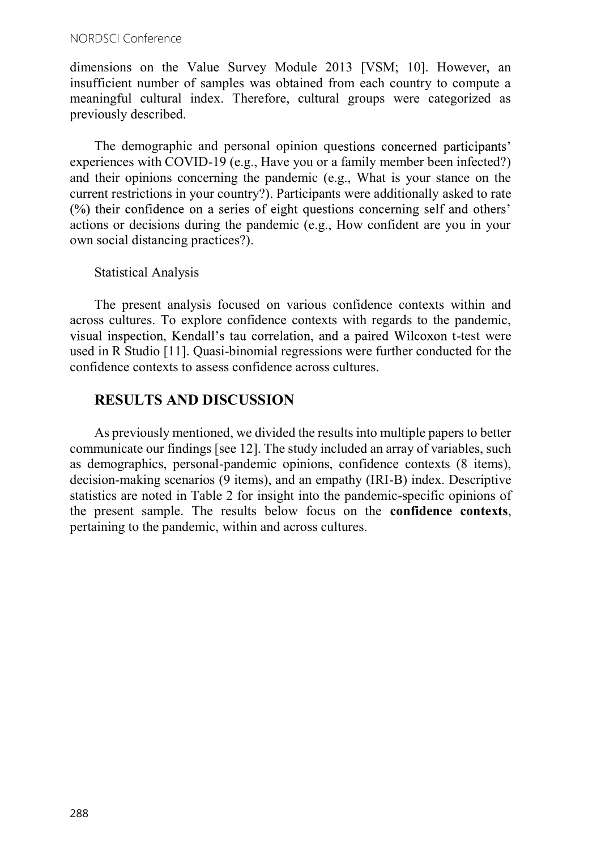dimensions on the Value Survey Module 2013 [VSM; 10]. However, an insufficient number of samples was obtained from each country to compute a meaningful cultural index. Therefore, cultural groups were categorized as previously described.

The demographic and personal opinion questions concerned participants' experiences with COVID-19 (e.g., Have you or a family member been infected?) and their opinions concerning the pandemic (e.g., What is your stance on the current restrictions in your country?). Participants were additionally asked to rate (%) their confidence on a series of eight questions concerning self and others' actions or decisions during the pandemic (e.g., How confident are you in your own social distancing practices?).

Statistical Analysis

The present analysis focused on various confidence contexts within and across cultures. To explore confidence contexts with regards to the pandemic, visual inspection, Kendall's tau correlation, and a paired Wilcoxon t-test were used in R Studio [11]. Quasi-binomial regressions were further conducted for the confidence contexts to assess confidence across cultures.

# RESULTS AND DISCUSSION

As previously mentioned, we divided the results into multiple papers to better communicate our findings [see 12]. The study included an array of variables, such as demographics, personal-pandemic opinions, confidence contexts (8 items), decision-making scenarios (9 items), and an empathy (IRI-B) index. Descriptive statistics are noted in Table 2 for insight into the pandemic-specific opinions of the present sample. The results below focus on the confidence contexts, pertaining to the pandemic, within and across cultures.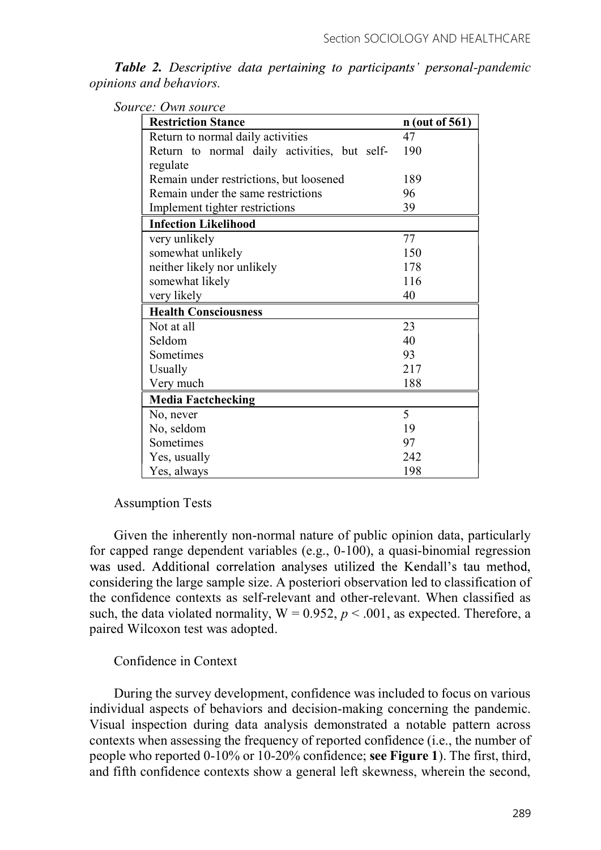Table 2. Descriptive data pertaining to participants' personal-pandemic opinions and behaviors.

| Source: Own source |
|--------------------|
|--------------------|

| <b>Restriction Stance</b>                    | $n$ (out of 561) |
|----------------------------------------------|------------------|
| Return to normal daily activities            | 47               |
| Return to normal daily activities, but self- | 190              |
| regulate                                     |                  |
| Remain under restrictions, but loosened      | 189              |
| Remain under the same restrictions           | 96               |
| Implement tighter restrictions               | 39               |
| <b>Infection Likelihood</b>                  |                  |
| very unlikely                                | 77               |
| somewhat unlikely                            | 150              |
| neither likely nor unlikely                  | 178              |
| somewhat likely                              | 116              |
| very likely                                  | 40               |
| <b>Health Consciousness</b>                  |                  |
| Not at all                                   | 23               |
| Seldom                                       | 40               |
| Sometimes                                    | 93               |
| Usually                                      | 217              |
| Very much                                    | 188              |
| <b>Media Factchecking</b>                    |                  |
| No, never                                    | 5                |
| No, seldom                                   | 19               |
| Sometimes                                    | 97               |
| Yes, usually                                 | 242              |
| Yes, always                                  | 198              |

Assumption Tests

Given the inherently non-normal nature of public opinion data, particularly for capped range dependent variables (e.g., 0-100), a quasi-binomial regression was used. Additional correlation analyses utilized the Kendall's tau method, considering the large sample size. A posteriori observation led to classification of the confidence contexts as self-relevant and other-relevant. When classified as such, the data violated normality,  $W = 0.952$ ,  $p < .001$ , as expected. Therefore, a paired Wilcoxon test was adopted.

#### Confidence in Context

During the survey development, confidence was included to focus on various individual aspects of behaviors and decision-making concerning the pandemic. Visual inspection during data analysis demonstrated a notable pattern across contexts when assessing the frequency of reported confidence (i.e., the number of people who reported 0-10% or 10-20% confidence; see Figure 1). The first, third, and fifth confidence contexts show a general left skewness, wherein the second,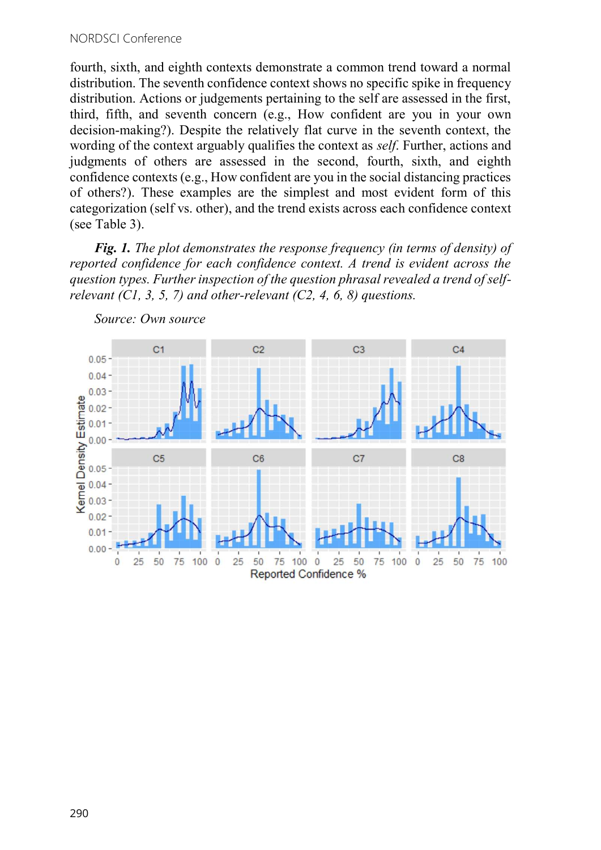fourth, sixth, and eighth contexts demonstrate a common trend toward a normal distribution. The seventh confidence context shows no specific spike in frequency distribution. Actions or judgements pertaining to the self are assessed in the first, third, fifth, and seventh concern (e.g., How confident are you in your own decision-making?). Despite the relatively flat curve in the seventh context, the wording of the context arguably qualifies the context as self. Further, actions and judgments of others are assessed in the second, fourth, sixth, and eighth confidence contexts (e.g., How confident are you in the social distancing practices of others?). These examples are the simplest and most evident form of this categorization (self vs. other), and the trend exists across each confidence context (see Table 3).

Fig. 1. The plot demonstrates the response frequency (in terms of density) of reported confidence for each confidence context. A trend is evident across the question types. Further inspection of the question phrasal revealed a trend of selfrelevant  $(C1, 3, 5, 7)$  and other-relevant  $(C2, 4, 6, 8)$  questions.



Source: Own source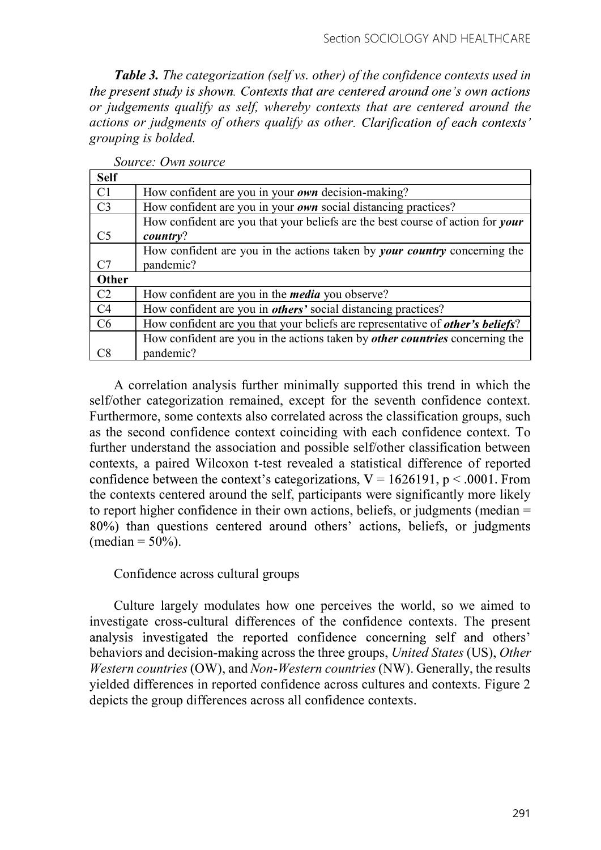Table 3. The categorization (self vs. other) of the confidence contexts used in the present study is shown. Contexts that are centered around one's own actions or judgements qualify as self, whereby contexts that are centered around the actions or judgments of others qualify as other. Clarification of each contexts' grouping is bolded.

| <b>Self</b>    |                                                                                        |
|----------------|----------------------------------------------------------------------------------------|
| C1             | How confident are you in your own decision-making?                                     |
| C <sub>3</sub> | How confident are you in your own social distancing practices?                         |
|                | How confident are you that your beliefs are the best course of action for your         |
| C <sub>5</sub> | country?                                                                               |
|                | How confident are you in the actions taken by <i>your country</i> concerning the       |
| C7             | pandemic?                                                                              |
| Other          |                                                                                        |
| C2             | How confident are you in the <i>media</i> you observe?                                 |
| C <sub>4</sub> | How confident are you in <i>others'</i> social distancing practices?                   |
| C6             | How confident are you that your beliefs are representative of <i>other's beliefs</i> ? |
|                | How confident are you in the actions taken by <i>other countries</i> concerning the    |
| C8             | pandemic?                                                                              |

Source: Own source

A correlation analysis further minimally supported this trend in which the self/other categorization remained, except for the seventh confidence context. Furthermore, some contexts also correlated across the classification groups, such as the second confidence context coinciding with each confidence context. To further understand the association and possible self/other classification between contexts, a paired Wilcoxon t-test revealed a statistical difference of reported confidence between the context's categorizations,  $V = 1626191$ ,  $p < .0001$ . From the contexts centered around the self, participants were significantly more likely to report higher confidence in their own actions, beliefs, or judgments (median = 80%) than questions centered around others' actions, beliefs, or judgments (median  $= 50\%$ ).

### Confidence across cultural groups

Culture largely modulates how one perceives the world, so we aimed to investigate cross-cultural differences of the confidence contexts. The present analysis investigated the reported confidence concerning self and others' behaviors and decision-making across the three groups, United States (US), Other Western countries (OW), and Non-Western countries (NW). Generally, the results yielded differences in reported confidence across cultures and contexts. Figure 2 depicts the group differences across all confidence contexts.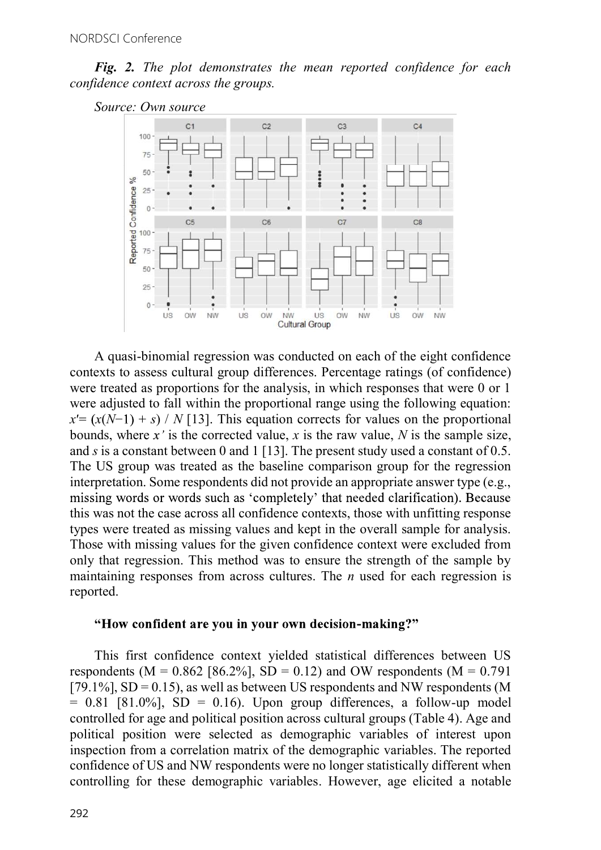Fig. 2. The plot demonstrates the mean reported confidence for each confidence context across the groups.





A quasi-binomial regression was conducted on each of the eight confidence contexts to assess cultural group differences. Percentage ratings (of confidence) were treated as proportions for the analysis, in which responses that were 0 or 1 were adjusted to fall within the proportional range using the following equation:  $x' = (x(N-1) + s) / N$  [13]. This equation corrects for values on the proportional bounds, where x' is the corrected value, x is the raw value, N is the sample size, and s is a constant between 0 and 1 [13]. The present study used a constant of  $0.5$ . The US group was treated as the baseline comparison group for the regression interpretation. Some respondents did not provide an appropriate answer type (e.g., missing words or words such as 'completely' that needed clarification). Because this was not the case across all confidence contexts, those with unfitting response types were treated as missing values and kept in the overall sample for analysis. Those with missing values for the given confidence context were excluded from only that regression. This method was to ensure the strength of the sample by maintaining responses from across cultures. The  $n$  used for each regression is reported.

#### "How confident are you in your own decision-making?"

This first confidence context yielded statistical differences between US respondents ( $M = 0.862$  [86.2%], SD = 0.12) and OW respondents ( $M = 0.791$ [79.1%],  $SD = 0.15$ ), as well as between US respondents and NW respondents (M  $= 0.81$  [81.0%], SD  $= 0.16$ ). Upon group differences, a follow-up model controlled for age and political position across cultural groups (Table 4). Age and political position were selected as demographic variables of interest upon inspection from a correlation matrix of the demographic variables. The reported confidence of US and NW respondents were no longer statistically different when controlling for these demographic variables. However, age elicited a notable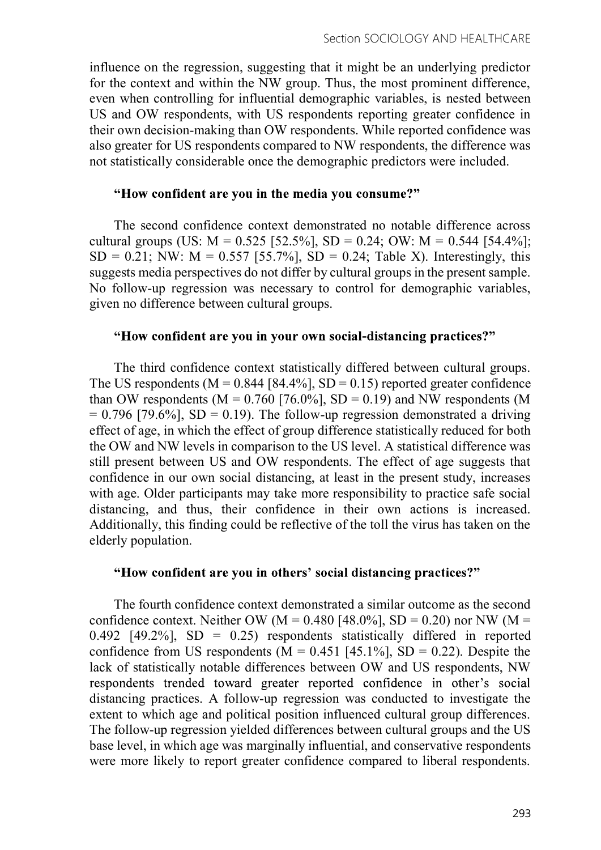influence on the regression, suggesting that it might be an underlying predictor for the context and within the NW group. Thus, the most prominent difference, even when controlling for influential demographic variables, is nested between US and OW respondents, with US respondents reporting greater confidence in their own decision-making than OW respondents. While reported confidence was also greater for US respondents compared to NW respondents, the difference was not statistically considerable once the demographic predictors were included.

#### "How confident are you in the media you consume?"

The second confidence context demonstrated no notable difference across cultural groups (US:  $M = 0.525$  [52.5%], SD = 0.24; OW:  $M = 0.544$  [54.4%];  $SD = 0.21$ ; NW:  $M = 0.557$  [55.7%],  $SD = 0.24$ ; Table X). Interestingly, this suggests media perspectives do not differ by cultural groups in the present sample. No follow-up regression was necessary to control for demographic variables, given no difference between cultural groups.

#### "How confident are you in your own social-distancing practices?"

The third confidence context statistically differed between cultural groups. The US respondents ( $M = 0.844$  [84.4%], SD = 0.15) reported greater confidence than OW respondents ( $M = 0.760$  [76.0%], SD = 0.19) and NW respondents (M  $= 0.796$  [79.6%], SD = 0.19). The follow-up regression demonstrated a driving effect of age, in which the effect of group difference statistically reduced for both the OW and NW levels in comparison to the US level. A statistical difference was still present between US and OW respondents. The effect of age suggests that confidence in our own social distancing, at least in the present study, increases with age. Older participants may take more responsibility to practice safe social distancing, and thus, their confidence in their own actions is increased. Additionally, this finding could be reflective of the toll the virus has taken on the elderly population.

#### "How confident are you in others' social distancing practices?"

The fourth confidence context demonstrated a similar outcome as the second confidence context. Neither OW (M =  $0.480$  [48.0%], SD = 0.20) nor NW (M = 0.492 [49.2%],  $SD = 0.25$  respondents statistically differed in reported confidence from US respondents ( $M = 0.451$  [45.1%], SD = 0.22). Despite the lack of statistically notable differences between OW and US respondents, NW respondents trended toward greater reported confidence in other's social distancing practices. A follow-up regression was conducted to investigate the extent to which age and political position influenced cultural group differences. The follow-up regression yielded differences between cultural groups and the US base level, in which age was marginally influential, and conservative respondents were more likely to report greater confidence compared to liberal respondents.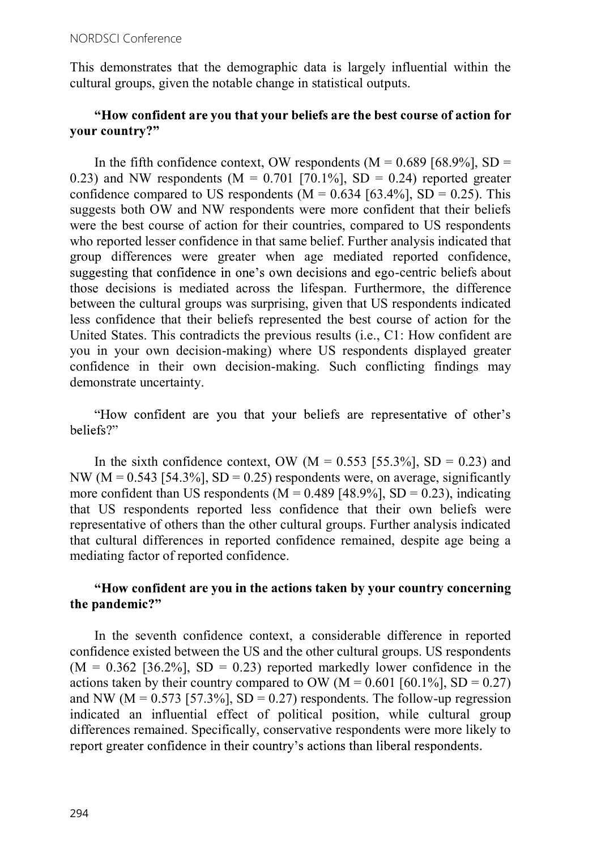This demonstrates that the demographic data is largely influential within the cultural groups, given the notable change in statistical outputs.

## "How confident are you that your beliefs are the best course of action for vour country?"

In the fifth confidence context, OW respondents  $(M = 0.689 \, [68.9\%], SD =$ 0.23) and NW respondents ( $M = 0.701$  [70.1%], SD = 0.24) reported greater confidence compared to US respondents ( $M = 0.634$  [63.4%], SD = 0.25). This suggests both OW and NW respondents were more confident that their beliefs were the best course of action for their countries, compared to US respondents who reported lesser confidence in that same belief. Further analysis indicated that group differences were greater when age mediated reported confidence, suggesting that confidence in one's own decisions and ego-centric beliefs about those decisions is mediated across the lifespan. Furthermore, the difference between the cultural groups was surprising, given that US respondents indicated less confidence that their beliefs represented the best course of action for the United States. This contradicts the previous results (i.e., C1: How confident are you in your own decision-making) where US respondents displayed greater confidence in their own decision-making. Such conflicting findings may demonstrate uncertainty.

"How confident are you that your beliefs are representative of other's beliefs?"

In the sixth confidence context, OW ( $M = 0.553$  [55.3%], SD = 0.23) and NW ( $M = 0.543$  [54.3%], SD = 0.25) respondents were, on average, significantly more confident than US respondents ( $M = 0.489$  [48.9%], SD = 0.23), indicating that US respondents reported less confidence that their own beliefs were representative of others than the other cultural groups. Further analysis indicated that cultural differences in reported confidence remained, despite age being a mediating factor of reported confidence.

## "How confident are you in the actions taken by your country concerning the pandemic?"

In the seventh confidence context, a considerable difference in reported confidence existed between the US and the other cultural groups. US respondents  $(M = 0.362$  [36.2%], SD = 0.23) reported markedly lower confidence in the actions taken by their country compared to OW ( $M = 0.601$  [60.1%], SD = 0.27) and NW ( $M = 0.573$  [57.3%], SD = 0.27) respondents. The follow-up regression indicated an influential effect of political position, while cultural group differences remained. Specifically, conservative respondents were more likely to report greater confidence in their country's actions than liberal respondents.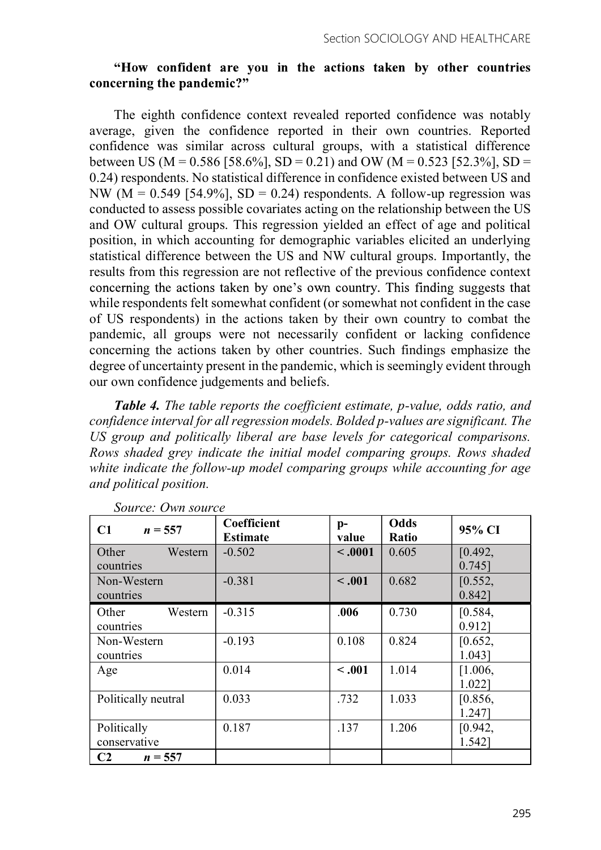### "How confident are you in the actions taken by other countries concerning the pandemic?"

The eighth confidence context revealed reported confidence was notably average, given the confidence reported in their own countries. Reported confidence was similar across cultural groups, with a statistical difference between US (M = 0.586 [58.6%], SD = 0.21) and OW (M = 0.523 [52.3%], SD = 0.24) respondents. No statistical difference in confidence existed between US and NW ( $M = 0.549$  [54.9%], SD = 0.24) respondents. A follow-up regression was conducted to assess possible covariates acting on the relationship between the US and OW cultural groups. This regression yielded an effect of age and political position, in which accounting for demographic variables elicited an underlying statistical difference between the US and NW cultural groups. Importantly, the results from this regression are not reflective of the previous confidence context concerning the actions taken by one's own country. This finding suggests that while respondents felt somewhat confident (or somewhat not confident in the case of US respondents) in the actions taken by their own country to combat the pandemic, all groups were not necessarily confident or lacking confidence concerning the actions taken by other countries. Such findings emphasize the degree of uncertainty present in the pandemic, which is seemingly evident through our own confidence judgements and beliefs.

Table 4. The table reports the coefficient estimate, p-value, odds ratio, and confidence interval for all regression models. Bolded p-values are significant. The US group and politically liberal are base levels for categorical comparisons. Rows shaded grey indicate the initial model comparing groups. Rows shaded white indicate the follow-up model comparing groups while accounting for age and political position.

| C1<br>$n = 557$               | Coefficient<br><b>Estimate</b> | $p-$<br>value | <b>Odds</b><br>Ratio | 95% CI               |
|-------------------------------|--------------------------------|---------------|----------------------|----------------------|
| Other<br>Western<br>countries | $-0.502$                       | $\sim .0001$  | 0.605                | [0.492,<br>$0.745$ ] |
| Non-Western<br>countries      | $-0.381$                       | < .001        | 0.682                | [0.552,<br>$0.842$ ] |
| Other<br>Western<br>countries | $-0.315$                       | .006          | 0.730                | [0.584,<br>0.912     |
| Non-Western<br>countries      | $-0.193$                       | 0.108         | 0.824                | [0.652,<br>1.043]    |
| Age                           | 0.014                          | $-.001$       | 1.014                | [1.006,<br>1.022]    |
| Politically neutral           | 0.033                          | .732          | 1.033                | [0.856,<br>1.2471    |
| Politically<br>conservative   | 0.187                          | .137          | 1.206                | [0.942,<br>1.542]    |
| C <sub>2</sub><br>$n = 557$   |                                |               |                      |                      |

Source: Own source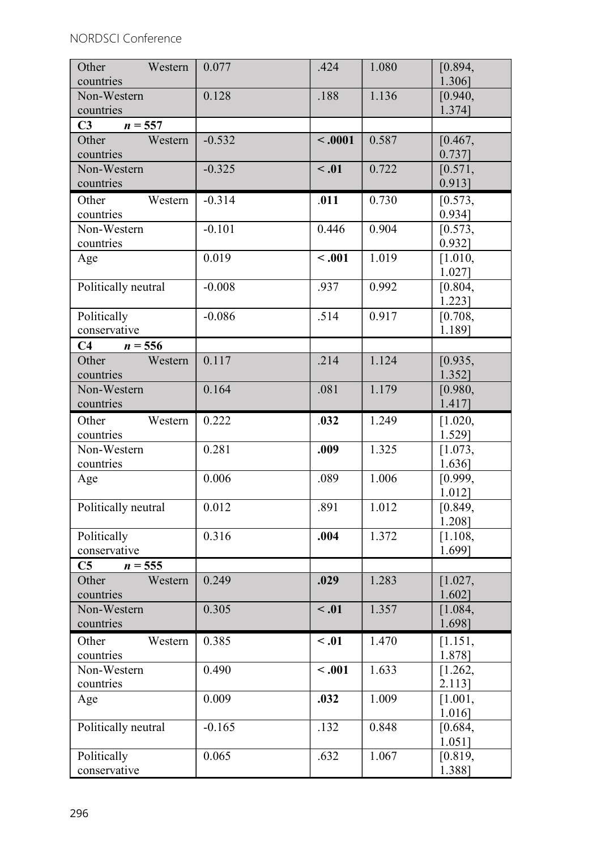| Other<br>Western              | 0.077    | .424       | 1.080 | [0.894,              |
|-------------------------------|----------|------------|-------|----------------------|
| countries                     |          |            |       | 1.306]               |
| Non-Western                   | 0.128    | .188       | 1.136 | [0.940,              |
| countries                     |          |            |       | 1.374]               |
| C3<br>$n = 557$               |          |            |       |                      |
| Western<br>Other              | $-0.532$ | $-.0001$   | 0.587 | [0.467,              |
| countries<br>Non-Western      | $-0.325$ | $\leq .01$ | 0.722 | $0.737$ ]<br>[0.571, |
| countries                     |          |            |       | $0.913$ ]            |
| Other<br>Western              | $-0.314$ | .011       | 0.730 | [0.573,              |
| countries                     |          |            |       | 0.934]               |
| Non-Western                   | $-0.101$ | 0.446      | 0.904 | [0.573,              |
| countries                     |          |            |       | 0.932]               |
| Age                           | 0.019    | $-.001$    | 1.019 | [1.010,              |
|                               |          |            |       | 1.027]               |
| Politically neutral           | $-0.008$ | .937       | 0.992 | [0.804,              |
|                               |          |            |       | 1.223]               |
| Politically                   | $-0.086$ | .514       | 0.917 | [0.708,              |
| conservative                  |          |            |       | 1.189]               |
| C4<br>$n = 556$               |          |            |       |                      |
| Other<br>Western              | 0.117    | .214       | 1.124 | [0.935,              |
| countries<br>Non-Western      | 0.164    | .081       | 1.179 | 1.352]<br>[0.980,    |
| countries                     |          |            |       | 1.417]               |
| Other<br>Western              | 0.222    | .032       | 1.249 | [1.020,              |
| countries                     |          |            |       | 1.529]               |
| Non-Western                   | 0.281    | .009       | 1.325 | [1.073,              |
| countries                     |          |            |       | 1.636]               |
| Age                           | 0.006    | .089       | 1.006 | [0.999,              |
|                               |          |            |       | 1.012]               |
| Politically neutral           | 0.012    | .891       | 1.012 | [0.849,              |
|                               |          |            |       | 1.208]               |
| Politically                   | 0.316    | .004       | 1.372 | [1.108,              |
| conservative                  |          |            |       | 1.699]               |
| C5<br>$n = 555$               |          |            |       |                      |
| Other<br>Western              | 0.249    | .029       | 1.283 | [1.027,              |
| countries                     |          |            |       | 1.602]               |
| Non-Western<br>countries      | 0.305    | $\leq .01$ | 1.357 | [1.084,<br>1.698]    |
|                               |          |            |       |                      |
| Western<br>Other<br>countries | 0.385    | $\leq .01$ | 1.470 | [1.151,<br>1.878]    |
| Non-Western                   | 0.490    | $-.001$    | 1.633 | [1.262,              |
| countries                     |          |            |       | 2.113]               |
| Age                           | 0.009    | .032       | 1.009 | [1.001,              |
|                               |          |            |       | 1.016]               |
| Politically neutral           | $-0.165$ | .132       | 0.848 | [0.684,              |
|                               |          |            |       | $1.051$ ]            |
| Politically                   | 0.065    | .632       | 1.067 | [0.819,              |
| conservative                  |          |            |       | 1.388]               |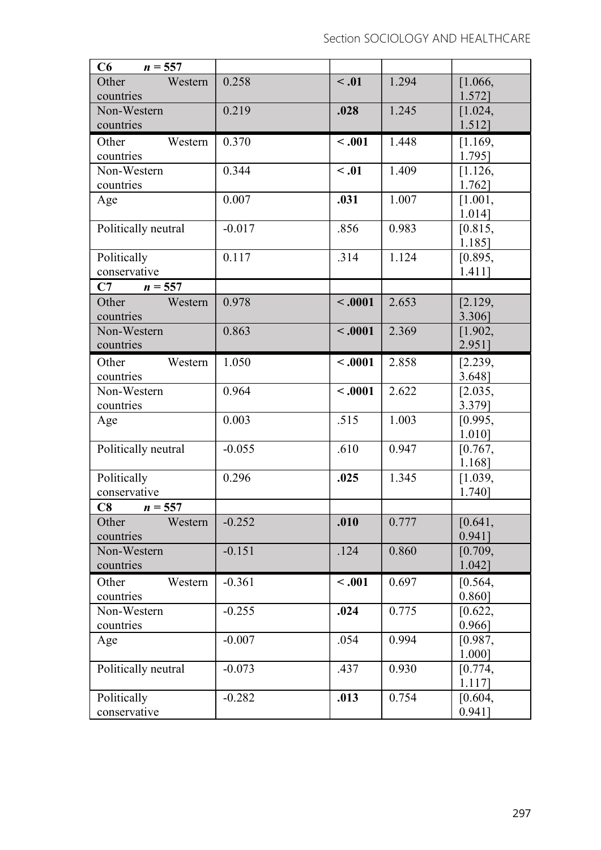| C6<br>$n = 557$     |          |            |       |                   |
|---------------------|----------|------------|-------|-------------------|
| Western<br>Other    | 0.258    | $\leq .01$ | 1.294 | [1.066,           |
| countries           |          |            |       | 1.572]            |
| Non-Western         | 0.219    | .028       | 1.245 | [1.024,           |
| countries           |          |            |       | 1.512]            |
| Other<br>Western    | 0.370    | < .001     | 1.448 | [1.169,           |
| countries           |          |            |       | 1.795]            |
| Non-Western         | 0.344    | $\leq .01$ | 1.409 | [1.126,           |
| countries           | 0.007    | .031       | 1.007 | 1.762]<br>[1.001, |
| Age                 |          |            |       | 1.014]            |
| Politically neutral | $-0.017$ | .856       | 0.983 | [0.815,           |
|                     |          |            |       | 1.185]            |
| Politically         | 0.117    | .314       | 1.124 | [0.895,           |
| conservative        |          |            |       | $1.411$ ]         |
| C7<br>$n = 557$     |          |            |       |                   |
| Other<br>Western    | 0.978    | $-.0001$   | 2.653 | [2.129,           |
| countries           |          |            |       | 3.306]            |
| Non-Western         | 0.863    | $-.0001$   | 2.369 | [1.902,           |
| countries           |          |            |       | 2.951]            |
| Other<br>Western    | 1.050    | $-.0001$   | 2.858 | [2.239,           |
| countries           |          |            |       | 3.648]            |
| Non-Western         | 0.964    | $-.0001$   | 2.622 | [2.035,           |
| countries           |          |            |       | 3.379]            |
| Age                 | 0.003    | .515       | 1.003 | [0.995,           |
| Politically neutral | $-0.055$ | .610       | 0.947 | 1.010]            |
|                     |          |            |       | [0.767,<br>1.168] |
| Politically         | 0.296    | .025       | 1.345 | [1.039,           |
| conservative        |          |            |       | 1.740]            |
| C8<br>$n = 557$     |          |            |       |                   |
| Western<br>Other    | $-0.252$ | .010       | 0.777 | [0.641,           |
| countries           |          |            |       | 0.941]            |
| Non-Western         | $-0.151$ | .124       | 0.860 | [0.709,           |
| countries           |          |            |       | 1.042]            |
| Western<br>Other    | $-0.361$ | < .001     | 0.697 | [0.564,           |
| countries           |          |            |       | 0.860]            |
| Non-Western         | $-0.255$ | .024       | 0.775 | [0.622,           |
| countries           |          |            |       | $0.966$ ]         |
| Age                 | $-0.007$ | .054       | 0.994 | [0.987,           |
|                     |          |            |       | 1.000]            |
| Politically neutral | $-0.073$ | .437       | 0.930 | [0.774,           |
|                     |          |            |       | 1.117]            |
| Politically         | $-0.282$ | .013       | 0.754 | [0.604,           |
| conservative        |          |            |       | 0.941]            |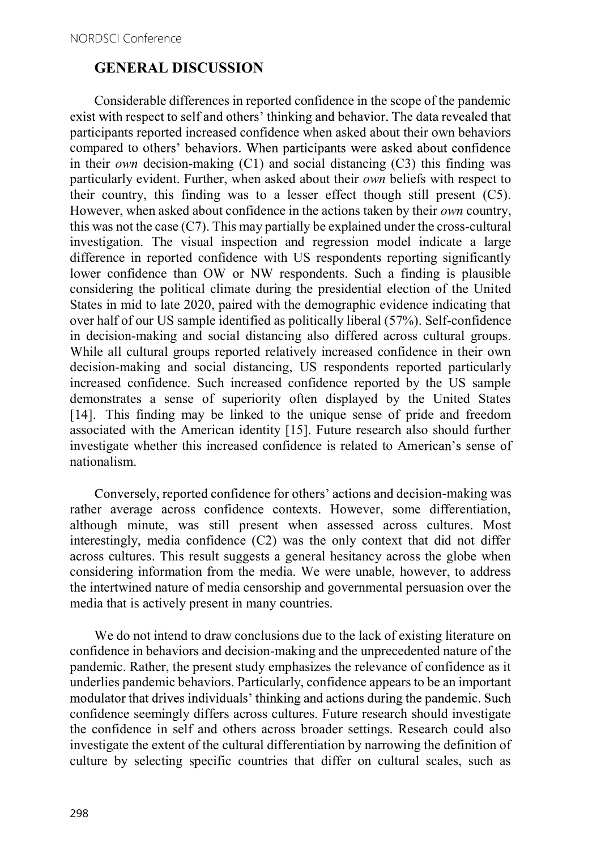## GENERAL DISCUSSION

Considerable differences in reported confidence in the scope of the pandemic exist with respect to self and others' thinking and behavior. The data revealed that participants reported increased confidence when asked about their own behaviors compared to others' behaviors. When participants were asked about confidence in their *own* decision-making  $(C1)$  and social distancing  $(C3)$  this finding was particularly evident. Further, when asked about their own beliefs with respect to their country, this finding was to a lesser effect though still present (C5). However, when asked about confidence in the actions taken by their own country, this was not the case  $(C7)$ . This may partially be explained under the cross-cultural investigation. The visual inspection and regression model indicate a large difference in reported confidence with US respondents reporting significantly lower confidence than OW or NW respondents. Such a finding is plausible considering the political climate during the presidential election of the United States in mid to late 2020, paired with the demographic evidence indicating that over half of our US sample identified as politically liberal (57%). Self-confidence in decision-making and social distancing also differed across cultural groups. While all cultural groups reported relatively increased confidence in their own decision-making and social distancing, US respondents reported particularly increased confidence. Such increased confidence reported by the US sample demonstrates a sense of superiority often displayed by the United States [14]. This finding may be linked to the unique sense of pride and freedom associated with the American identity [15]. Future research also should further investigate whether this increased confidence is related to American's sense of nationalism.

Conversely, reported confidence for others' actions and decision-making was rather average across confidence contexts. However, some differentiation, although minute, was still present when assessed across cultures. Most interestingly, media confidence (C2) was the only context that did not differ across cultures. This result suggests a general hesitancy across the globe when considering information from the media. We were unable, however, to address the intertwined nature of media censorship and governmental persuasion over the media that is actively present in many countries.

We do not intend to draw conclusions due to the lack of existing literature on confidence in behaviors and decision-making and the unprecedented nature of the pandemic. Rather, the present study emphasizes the relevance of confidence as it underlies pandemic behaviors. Particularly, confidence appears to be an important modulator that drives individuals' thinking and actions during the pandemic. Such confidence seemingly differs across cultures. Future research should investigate the confidence in self and others across broader settings. Research could also investigate the extent of the cultural differentiation by narrowing the definition of culture by selecting specific countries that differ on cultural scales, such as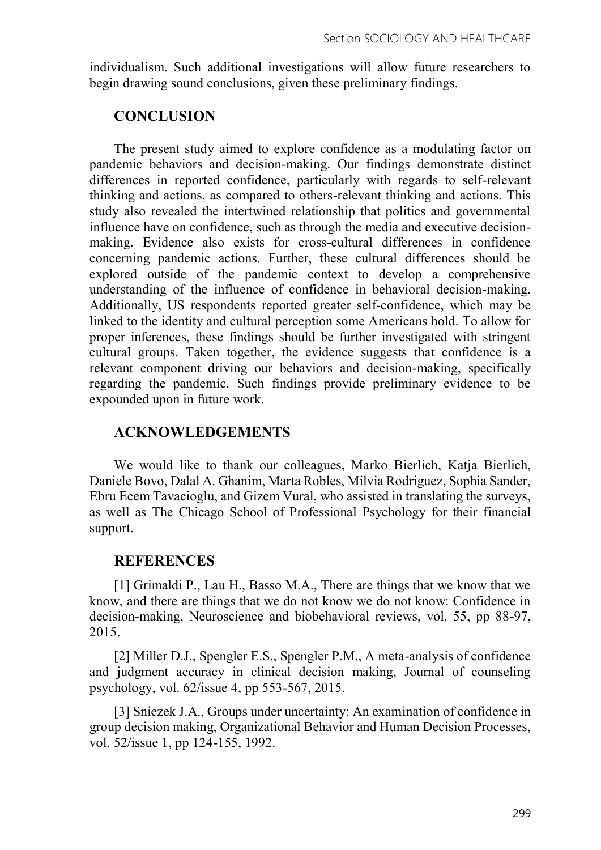individualism. Such additional investigations will allow future researchers to begin drawing sound conclusions, given these preliminary findings.

## **CONCLUSION**

The present study aimed to explore confidence as a modulating factor on pandemic behaviors and decision-making. Our findings demonstrate distinct differences in reported confidence, particularly with regards to self-relevant thinking and actions, as compared to others-relevant thinking and actions. This study also revealed the intertwined relationship that politics and governmental influence have on confidence, such as through the media and executive decisionmaking. Evidence also exists for cross-cultural differences in confidence concerning pandemic actions. Further, these cultural differences should be explored outside of the pandemic context to develop a comprehensive understanding of the influence of confidence in behavioral decision-making. Additionally, US respondents reported greater self-confidence, which may be linked to the identity and cultural perception some Americans hold. To allow for proper inferences, these findings should be further investigated with stringent cultural groups. Taken together, the evidence suggests that confidence is a relevant component driving our behaviors and decision-making, specifically regarding the pandemic. Such findings provide preliminary evidence to be expounded upon in future work.

# ACKNOWLEDGEMENTS

We would like to thank our colleagues, Marko Bierlich, Katja Bierlich, Daniele Bovo, Dalal A. Ghanim, Marta Robles, Milvia Rodriguez, Sophia Sander, Ebru Ecem Tavacioglu, and Gizem Vural, who assisted in translating the surveys, as well as The Chicago School of Professional Psychology for their financial support.

## **REFERENCES**

[1] Grimaldi P., Lau H., Basso M.A., There are things that we know that we know, and there are things that we do not know we do not know: Confidence in decision-making, Neuroscience and biobehavioral reviews, vol. 55, pp 88-97, 2015.

[2] Miller D.J., Spengler E.S., Spengler P.M., A meta-analysis of confidence and judgment accuracy in clinical decision making, Journal of counseling psychology, vol. 62/issue 4, pp 553-567, 2015.

[3] Sniezek J.A., Groups under uncertainty: An examination of confidence in group decision making, Organizational Behavior and Human Decision Processes, vol. 52/issue 1, pp 124-155, 1992.